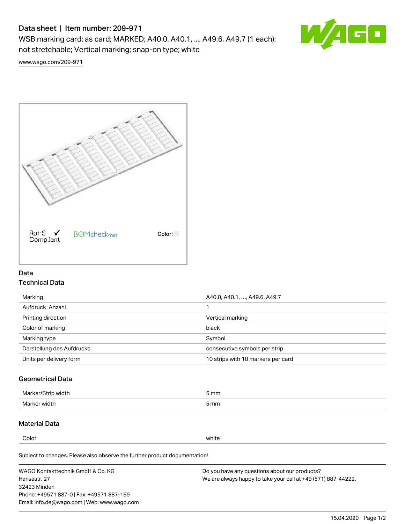# Data sheet | Item number: 209-971

WSB marking card; as card; MARKED; A40.0, A40.1, ..., A49.6, A49.7 (1 each); not stretchable; Vertical marking; snap-on type; white



[www.wago.com/209-971](http://www.wago.com/209-971)



### Data Technical Data

| Marking                   | A40.0, A40.1, , A49.6, A49.7       |
|---------------------------|------------------------------------|
| Aufdruck Anzahl           |                                    |
| Printing direction        | Vertical marking                   |
| Color of marking          | black                              |
| Marking type              | Symbol                             |
| Darstellung des Aufdrucks | consecutive symbols per strip      |
| Units per delivery form   | 10 strips with 10 markers per card |

## Geometrical Data

| طلقاء ئ<br><b>Marker</b><br>widtr | ັກmm |
|-----------------------------------|------|
| Marker width                      | 5 mm |

### Material Data

Color white

Subject to changes. Please also observe the further product documentation!

WAGO Kontakttechnik GmbH & Co. KG Hansastr. 27 32423 Minden Phone: +49571 887-0 | Fax: +49571 887-169 Email: info.de@wago.com | Web: www.wago.com Do you have any questions about our products? We are always happy to take your call at +49 (571) 887-44222.